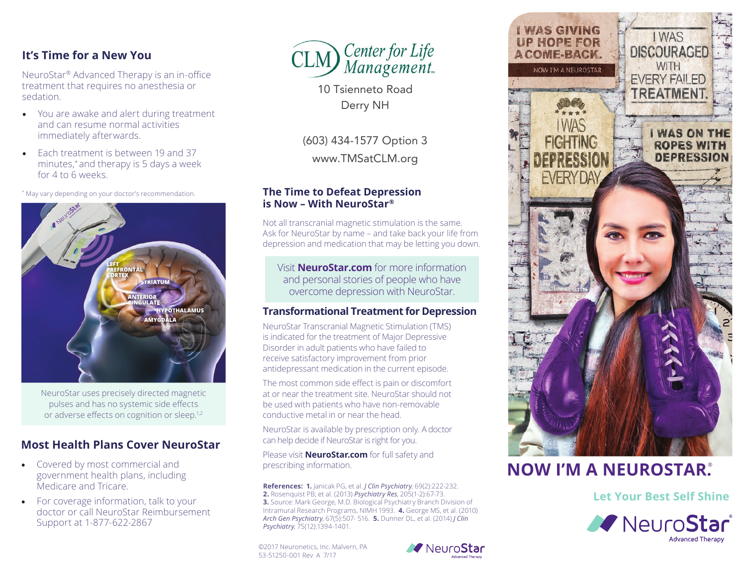## **It's Time for a New You**

NeuroStar® Advanced Therapy is an in-office treatment that requires no anesthesia or sedation.

- You are awake and alert during treatment and can resume normal activities immediately afterwards.
- Each treatment is between 19 and 37 minutes,\* and therapy is 5 days a week for 4 to 6 weeks.

\* May vary depending on your doctor's recommendation.



NeuroStar uses precisely directed magnetic pulses and has no systemic side effects or adverse effects on cognition or sleep.<sup>1,2</sup>

# **Most Health Plans Cover NeuroStar**

- Covered by most commercial and government health plans, including Medicare and Tricare.
- For coverage information, talk to your doctor or call NeuroStar Reimbursement Support at 1-877-622-2867



10 Tsienneto Road Derry NH

(603) 434-1577 Option 3

www.TMSatCLM.org

## **The Time to Defeat Depression is Now – With NeuroStar®**

Not all transcranial magnetic stimulation is the same. Ask for NeuroStar by name – and take back your life from depression and medication that may be letting you down.

Visit **NeuroStar.com** for more information and personal stories of people who have overcome depression with NeuroStar.

## **Transformational Treatment for Depression**

NeuroStar Transcranial Magnetic Stimulation (TMS) is indicated for the treatment of Major Depressive Disorder in adult patients who have failed to receive satisfactory improvement from prior antidepressant medication in the current episode.

The most common side effect is pain or discomfort at or near the treatment site. NeuroStar should not be used with patients who have non-removable conductive metal in or near the head.

NeuroStar is available by prescription only. A doctor can help decide if NeuroStar is right for you.

Please visit **NeuroStar.com** for full safety and prescribing information.

**References: 1.** Janicak PG, et al. *J Clin Psychiatry*, 69(2):222-232. **2.** Rosenquist PB, et al. (2013) *Psychiatry Res*, 205(1-2):67-73. **3.** Source: Mark George, M.D. Biological Psychiatry Branch Division of Intramural Research Programs, NIMH 1993. **4.** George MS, et al. (2010) *Arch Gen Psychiatry*, 67(5):507- 516. **5.** Dunner DL, et al. (2014) *J Clin Psychiatry*, 75(12):1394-1401.

©2017 Neuronetics, Inc. Malvern, PA 53-51250-001 Rev A 7/17





# **NOW I'M A NEUROSTAR.**®

**Let Your Best Self Shine**